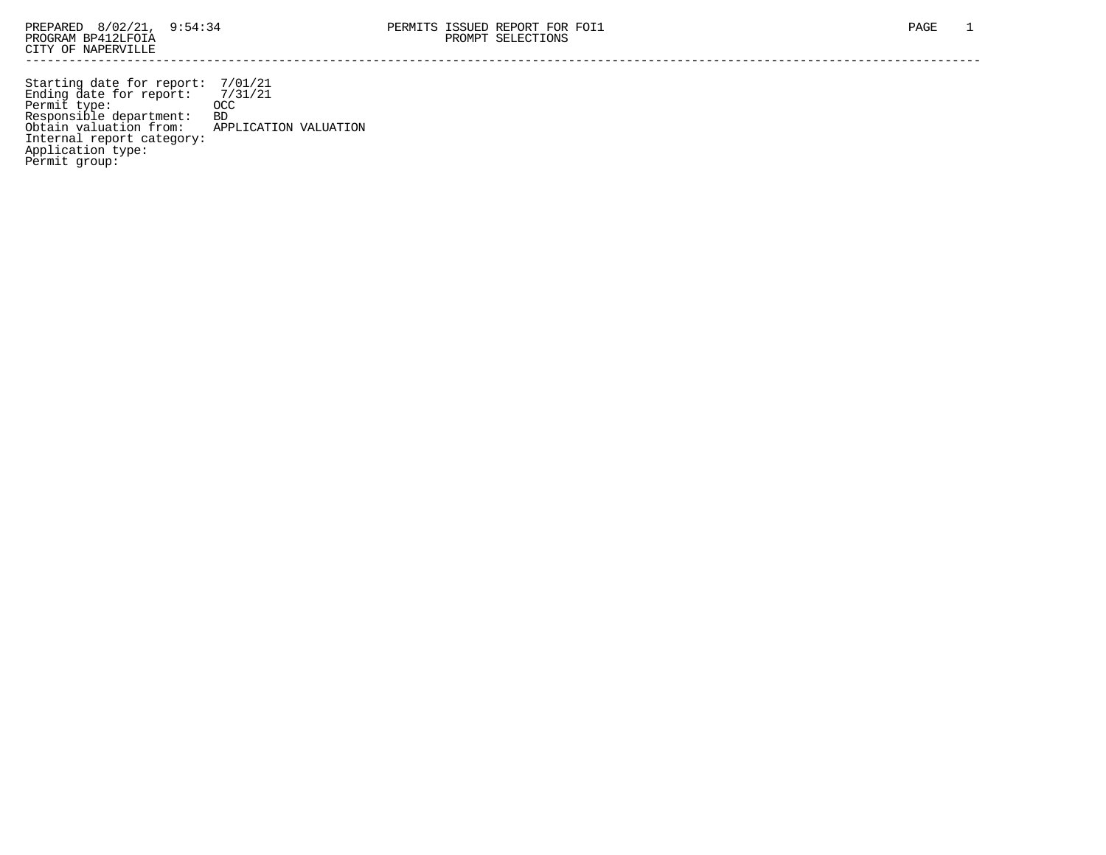Starting date for report: 7/01/21 Ending date for report: 7/31/21 Permit type: OCC Responsible department: BD Obtain valuation from: APPLICATION VALUATION Internal report category: Application type: Permit group: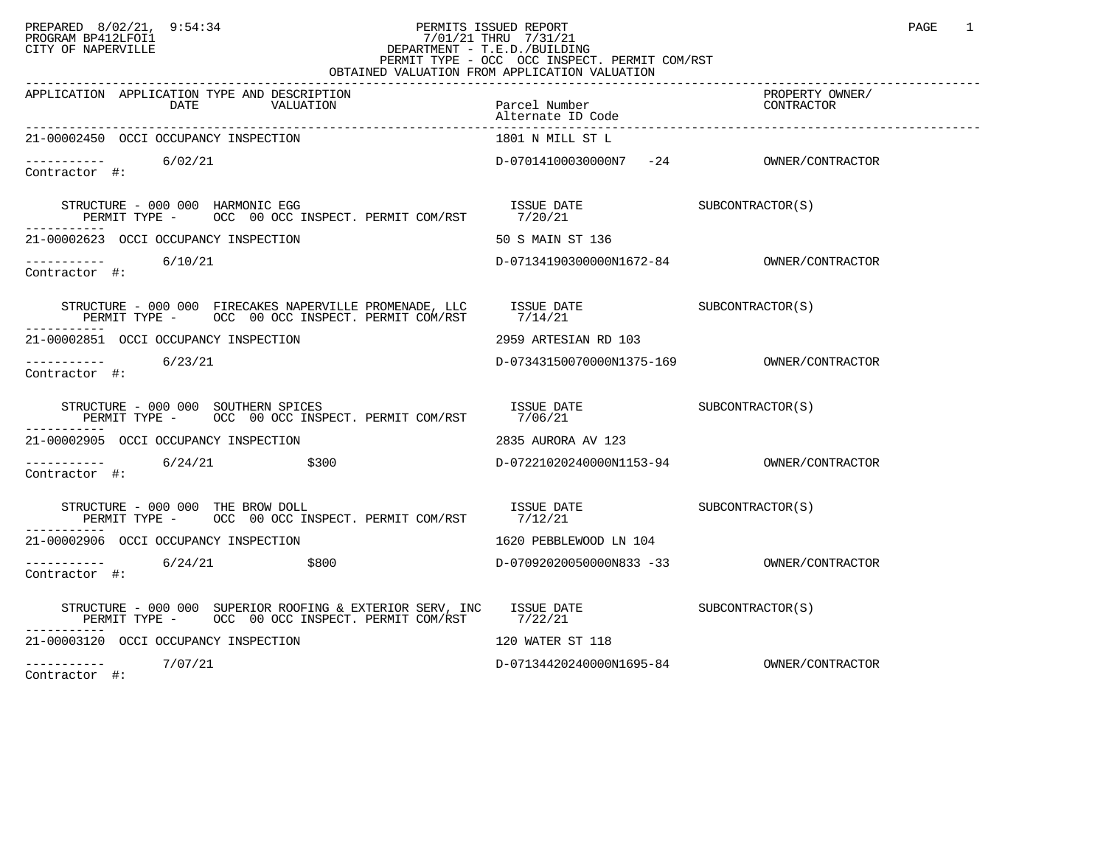## PREPARED 8/02/21, 9:54:34 PERMITS ISSUED REPORT PAGE 1 PROGRAM BP412LFOI1 7/01/21 THRU 7/31/21 CITY OF NAPERVILLE **Example 20** CITY OF NAPERVILLE PERMIT TYPE - OCC OCC INSPECT. PERMIT COM/RST OBTAINED VALUATION FROM APPLICATION VALUATION

| APPLICATION APPLICATION TYPE AND DESCRIPTION<br>DATE<br>VALUATION                                                                                                                                                                                                       | Parcel Number                           | PROPERTY OWNER/<br>CONTRACTOR |
|-------------------------------------------------------------------------------------------------------------------------------------------------------------------------------------------------------------------------------------------------------------------------|-----------------------------------------|-------------------------------|
| 21-00002450 OCCI OCCUPANCY INSPECTION                                                                                                                                                                                                                                   | 1801 N MILL ST L                        |                               |
| $\frac{--------}{+}$ 6/02/21                                                                                                                                                                                                                                            | D-07014100030000N7 -24 OWNER/CONTRACTOR |                               |
|                                                                                                                                                                                                                                                                         |                                         |                               |
| 21-00002623 OCCI OCCUPANCY INSPECTION                                                                                                                                                                                                                                   | 50 S MAIN ST 136                        |                               |
| $--------$ 6/10/21<br>Contractor #:                                                                                                                                                                                                                                     |                                         |                               |
| STRUCTURE – 000 000 FIRECAKES NAPERVILLE PROMENADE, LLC ISSUE DATE SUBCONTRACTOR(S) PERMIT TYPE – OCC 00 OCC INSPECT. PERMIT COM/RST $7/14/21$                                                                                                                          |                                         |                               |
| 21-00002851 OCCI OCCUPANCY INSPECTION                                                                                                                                                                                                                                   | 2959 ARTESIAN RD 103                    |                               |
| ----------- 6/23/21<br>Contractor #:                                                                                                                                                                                                                                    |                                         |                               |
| STRUCTURE - 000 000 SOUTHERN SPICES                                                                                                                                                                                                                                     |                                         |                               |
| 21-00002905 OCCI OCCUPANCY INSPECTION                                                                                                                                                                                                                                   | 2835 AURORA AV 123                      |                               |
| $-$ --------- 6/24/21 \$300<br>Contractor #:                                                                                                                                                                                                                            |                                         |                               |
| $\begin{tabular}{lllllll} \texttt{STRUCTURE} & 000 & 000 & \texttt{THE BROW DOLL} & \texttt{ISSUE DATE} & \texttt{DATE} & \texttt{SUBCONTRACTOR(S)} \\ \texttt{PERMIT TYPE} & & & \texttt{OCC} & 00 {\texttt{OCC} INSPECT. PERMIT COM/RST} & & 7/12/21 & \end{tabular}$ |                                         |                               |
| 21-00002906 OCCI OCCUPANCY INSPECTION                                                                                                                                                                                                                                   | 1620 PEBBLEWOOD LN 104                  |                               |
| $---------$ 6/24/21 \$800<br>Contractor #:                                                                                                                                                                                                                              |                                         |                               |
| STRUCTURE - 000 000 SUPERIOR ROOFING & EXTERIOR SERV, INC ISSUE DATE SUBCONTRACTOR(S)<br>PERMIT TYPE - OCC 00 OCC INSPECT. PERMIT COM/RST 7/22/21                                                                                                                       |                                         |                               |
| 21-00003120 OCCI OCCUPANCY INSPECTION                                                                                                                                                                                                                                   | 120 WATER ST 118                        |                               |
| ----------- 7/07/21                                                                                                                                                                                                                                                     |                                         |                               |

Contractor #: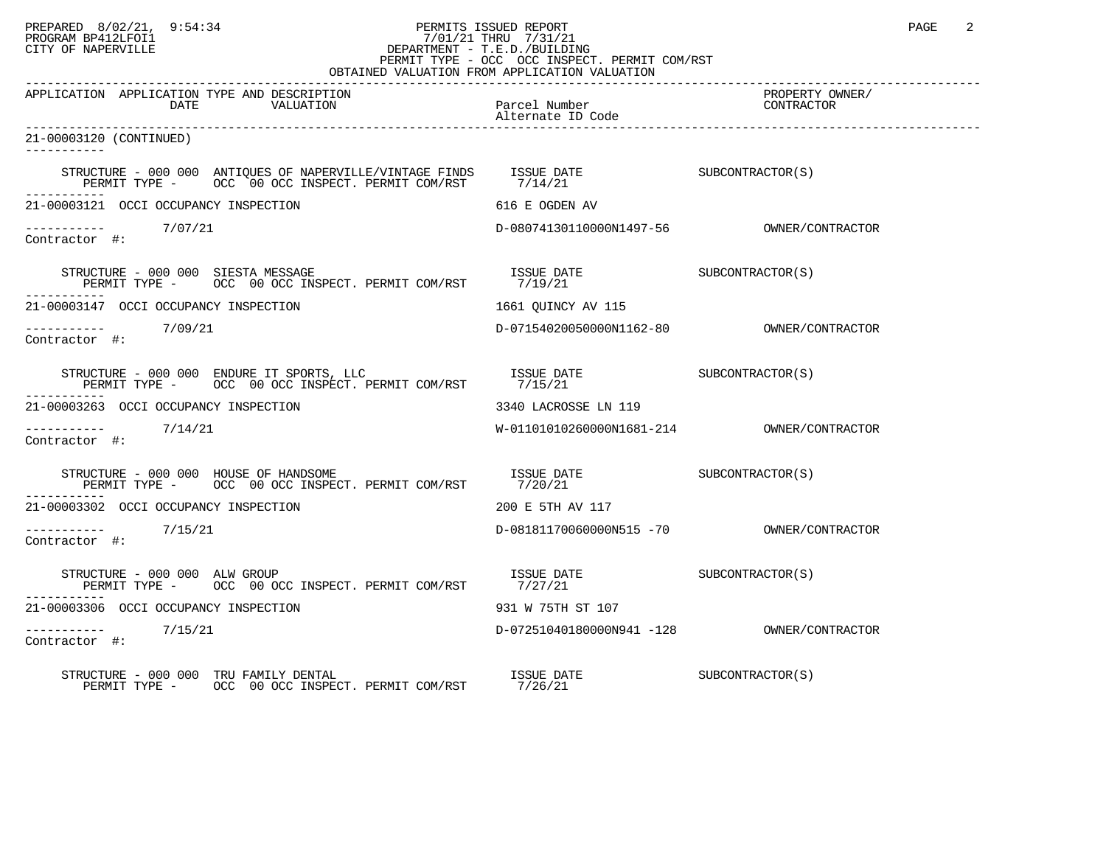## PREPARED 8/02/21, 9:54:34 PERMITS ISSUED REPORT PAGE 2 PROGRAM BP412LFOI1 7/01/21 THRU 7/31/21 CITY OF NAPERVILLE **Example 20** CITY OF NAPERVILLE PERMIT TYPE - OCC OCC INSPECT. PERMIT COM/RST

| OBTAINED VALUATION FROM APPLICATION VALUATION                                                                                                                                                                                                                                                                                   |                                            |                               |  |  |
|---------------------------------------------------------------------------------------------------------------------------------------------------------------------------------------------------------------------------------------------------------------------------------------------------------------------------------|--------------------------------------------|-------------------------------|--|--|
| APPLICATION APPLICATION TYPE AND DESCRIPTION<br>DATE<br>VALUATION                                                                                                                                                                                                                                                               | Parcel Number<br>Alternate ID Code         | PROPERTY OWNER/<br>CONTRACTOR |  |  |
| 21-00003120 (CONTINUED)<br>-----------                                                                                                                                                                                                                                                                                          |                                            |                               |  |  |
|                                                                                                                                                                                                                                                                                                                                 |                                            |                               |  |  |
| 21-00003121 OCCI OCCUPANCY INSPECTION                                                                                                                                                                                                                                                                                           | 616 E OGDEN AV                             |                               |  |  |
| $\begin{tabular}{ll} --------& & 7/07/21 \\ \textbf{Contractor} & \#: & \end{tabular}$                                                                                                                                                                                                                                          |                                            |                               |  |  |
| $\begin{array}{cccccc} \texttt{STRUCTURE} & - & 000 & 000 & \texttt{SIESTA MESSAGE} & & & & & & \\ \texttt{PERMIT TYPE} & - & & \texttt{OCC} & 00 & \texttt{OCC} & \texttt{INSERT} & \texttt{PERMIT} & \texttt{COM/RST} & & & & 7/19/21 \\ \end{array}$                                                                         |                                            |                               |  |  |
| 21-00003147 OCCI OCCUPANCY INSPECTION                                                                                                                                                                                                                                                                                           | 1661 OUINCY AV 115                         |                               |  |  |
| Contractor #:                                                                                                                                                                                                                                                                                                                   |                                            |                               |  |  |
| $\begin{tabular}{lllllll} \texttt{STRUCTURE} & 000 & 000 & \texttt{ENDURE} & \texttt{IT} & \texttt{SDART} & \texttt{ISSUE} & \texttt{DATE} & \texttt{SUBCONTRACTOR(S)} \\ \texttt{PERMIT TYPE} & - & \texttt{OCC} & 00 & \texttt{OCC} & \texttt{INSERT} & \texttt{PERMIT COM/RST} & & 7/15/21 & & & & & & & & \\ \end{tabular}$ |                                            |                               |  |  |
| 21-00003263 OCCI OCCUPANCY INSPECTION                                                                                                                                                                                                                                                                                           | 3340 LACROSSE LN 119                       |                               |  |  |
| $------ 7/14/21$<br>Contractor #:                                                                                                                                                                                                                                                                                               | W-01101010260000N1681-214 OWNER/CONTRACTOR |                               |  |  |
| STRUCTURE - 000 000 HOUSE OF HANDSOME $\overline{S}$ is the particle of $\overline{S}$ is the subcontractor(S)<br>PERMIT TYPE - OCC OO OCC INSPECT. PERMIT COM/RST 7/20/21                                                                                                                                                      |                                            |                               |  |  |
| 21-00003302 OCCI OCCUPANCY INSPECTION                                                                                                                                                                                                                                                                                           | 200 E 5TH AV 117                           |                               |  |  |
| ----------     7/15/21<br>Contractor #:                                                                                                                                                                                                                                                                                         |                                            |                               |  |  |
| STRUCTURE - 000 000 ALW GROUP<br>PERMIT TYPE - OCC 00 OCC INSPECT. PERMIT COM/RST 7/27/21                                                                                                                                                                                                                                       | ISSUE DATE SUBCONTRACTOR(S)                |                               |  |  |
| 21-00003306 OCCI OCCUPANCY INSPECTION                                                                                                                                                                                                                                                                                           | 931 W 75TH ST 107                          |                               |  |  |
| ----------- 7/15/21<br>Contractor #:                                                                                                                                                                                                                                                                                            |                                            |                               |  |  |
| STRUCTURE - 000 000 TRU FAMILY DENTAL<br>PERMIT TYPE - OCC 00 OCC INSPECT. PERMIT COM/RST 7/26/21                                                                                                                                                                                                                               | ISSUE DATE                                 | SUBCONTRACTOR(S)              |  |  |